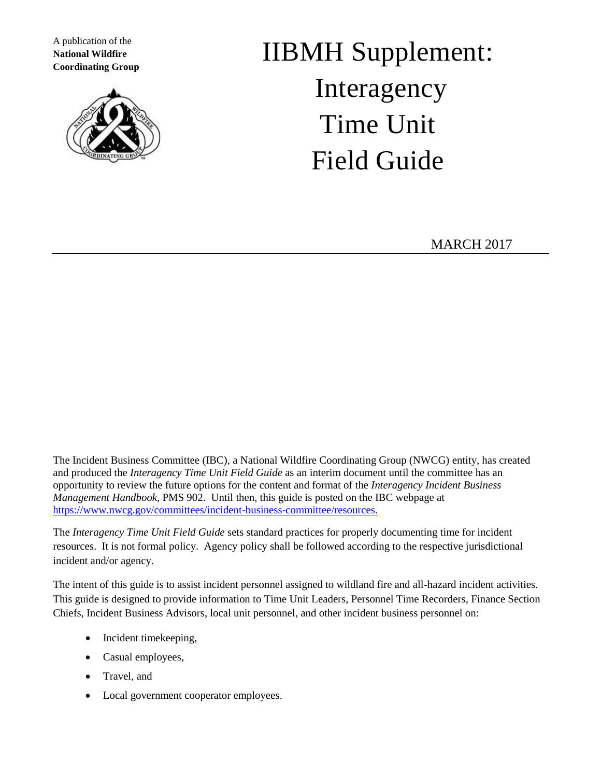A publication of the **National Wildfire Coordinating Group**



# IIBMH Supplement: Interagency Time Unit Field Guide

MARCH 2017

The Incident Business Committee (IBC), a National Wildfire Coordinating Group (NWCG) entity, has created and produced the *Interagency Time Unit Field Guide* as an interim document until the committee has an opportunity to review the future options for the content and format of the *Interagency Incident Business Management Handbook*, PMS 902. Until then, this guide is posted on the IBC webpage at [https://www.nwcg.gov/committees/incident-business-committee/resources.](https://www.nwcg.gov/committees/incident-business-committee/resources)

The *Interagency Time Unit Field Guide* sets standard practices for properly documenting time for incident resources. It is not formal policy. Agency policy shall be followed according to the respective jurisdictional incident and/or agency.

The intent of this guide is to assist incident personnel assigned to wildland fire and all-hazard incident activities. This guide is designed to provide information to Time Unit Leaders, Personnel Time Recorders, Finance Section Chiefs, Incident Business Advisors, local unit personnel, and other incident business personnel on:

- Incident timekeeping,
- Casual employees,
- Travel, and
- Local government cooperator employees.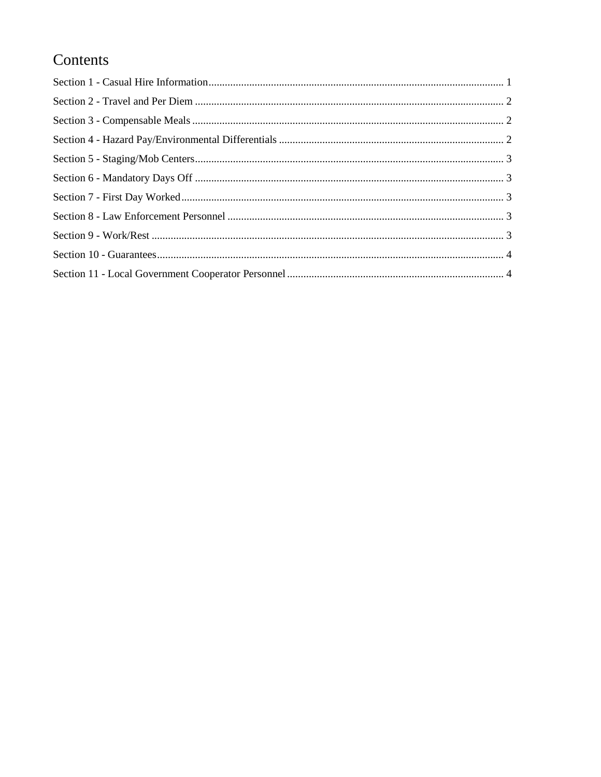## Contents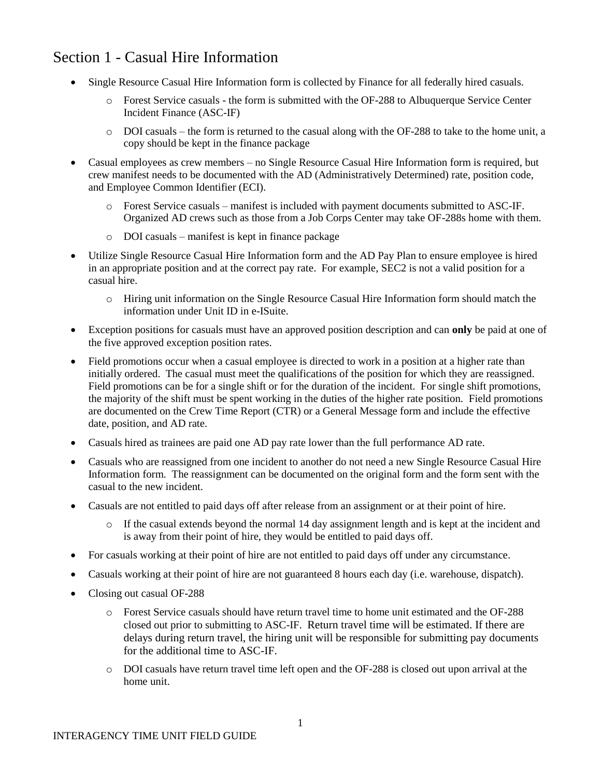#### <span id="page-2-0"></span>Section 1 - Casual Hire Information

- Single Resource Casual Hire Information form is collected by Finance for all federally hired casuals.
	- o Forest Service casuals the form is submitted with the OF-288 to Albuquerque Service Center Incident Finance (ASC-IF)
	- $\circ$  DOI casuals the form is returned to the casual along with the OF-288 to take to the home unit, a copy should be kept in the finance package
- Casual employees as crew members no Single Resource Casual Hire Information form is required, but crew manifest needs to be documented with the AD (Administratively Determined) rate, position code, and Employee Common Identifier (ECI).
	- o Forest Service casuals manifest is included with payment documents submitted to ASC-IF. Organized AD crews such as those from a Job Corps Center may take OF-288s home with them.
	- o DOI casuals manifest is kept in finance package
- Utilize Single Resource Casual Hire Information form and the AD Pay Plan to ensure employee is hired in an appropriate position and at the correct pay rate. For example, SEC2 is not a valid position for a casual hire.
	- o Hiring unit information on the Single Resource Casual Hire Information form should match the information under Unit ID in e-ISuite.
- Exception positions for casuals must have an approved position description and can **only** be paid at one of the five approved exception position rates.
- Field promotions occur when a casual employee is directed to work in a position at a higher rate than initially ordered. The casual must meet the qualifications of the position for which they are reassigned. Field promotions can be for a single shift or for the duration of the incident. For single shift promotions, the majority of the shift must be spent working in the duties of the higher rate position. Field promotions are documented on the Crew Time Report (CTR) or a General Message form and include the effective date, position, and AD rate.
- Casuals hired as trainees are paid one AD pay rate lower than the full performance AD rate.
- Casuals who are reassigned from one incident to another do not need a new Single Resource Casual Hire Information form. The reassignment can be documented on the original form and the form sent with the casual to the new incident.
- Casuals are not entitled to paid days off after release from an assignment or at their point of hire.
	- o If the casual extends beyond the normal 14 day assignment length and is kept at the incident and is away from their point of hire, they would be entitled to paid days off.
- For casuals working at their point of hire are not entitled to paid days off under any circumstance.
- Casuals working at their point of hire are not guaranteed 8 hours each day (i.e. warehouse, dispatch).
- Closing out casual OF-288
	- o Forest Service casuals should have return travel time to home unit estimated and the OF-288 closed out prior to submitting to ASC-IF. Return travel time will be estimated. If there are delays during return travel, the hiring unit will be responsible for submitting pay documents for the additional time to ASC-IF.
	- o DOI casuals have return travel time left open and the OF-288 is closed out upon arrival at the home unit.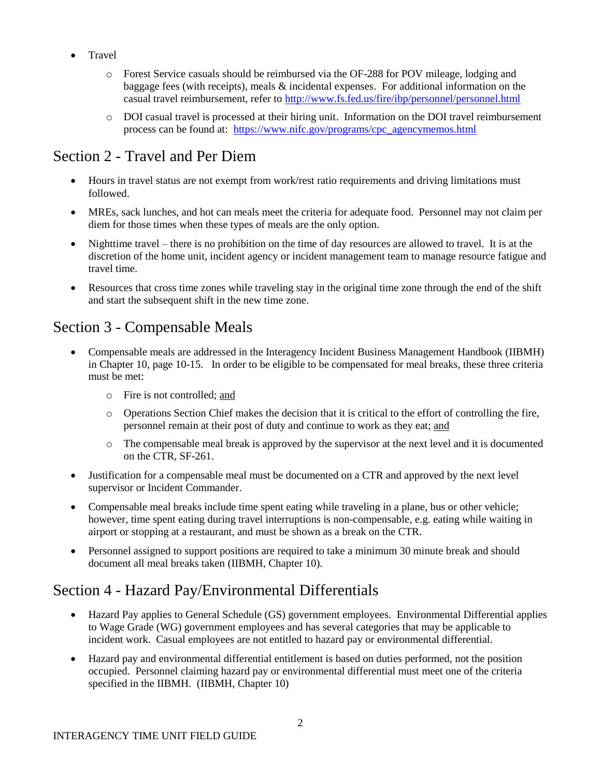- Travel
	- o Forest Service casuals should be reimbursed via the OF-288 for POV mileage, lodging and baggage fees (with receipts), meals & incidental expenses. For additional information on the casual travel reimbursement, refer to<http://www.fs.fed.us/fire/ibp/personnel/personnel.html>
	- o DOI casual travel is processed at their hiring unit. Information on the DOI travel reimbursement process can be found at: [https://www.nifc.gov/programs/cpc\\_agencymemos.html](https://www.nifc.gov/programs/cpc_agencymemos.html)

#### <span id="page-3-0"></span>Section 2 - Travel and Per Diem

- Hours in travel status are not exempt from work/rest ratio requirements and driving limitations must followed.
- MREs, sack lunches, and hot can meals meet the criteria for adequate food. Personnel may not claim per diem for those times when these types of meals are the only option.
- Nighttime travel there is no prohibition on the time of day resources are allowed to travel. It is at the discretion of the home unit, incident agency or incident management team to manage resource fatigue and travel time.
- Resources that cross time zones while traveling stay in the original time zone through the end of the shift and start the subsequent shift in the new time zone.

## <span id="page-3-1"></span>Section 3 - Compensable Meals

- Compensable meals are addressed in the Interagency Incident Business Management Handbook (IIBMH) in Chapter 10, page 10-15. In order to be eligible to be compensated for meal breaks, these three criteria must be met:
	- o Fire is not controlled; and
	- o Operations Section Chief makes the decision that it is critical to the effort of controlling the fire, personnel remain at their post of duty and continue to work as they eat; and
	- o The compensable meal break is approved by the supervisor at the next level and it is documented on the CTR, SF-261.
- Justification for a compensable meal must be documented on a CTR and approved by the next level supervisor or Incident Commander.
- Compensable meal breaks include time spent eating while traveling in a plane, bus or other vehicle; however, time spent eating during travel interruptions is non-compensable, e.g. eating while waiting in airport or stopping at a restaurant, and must be shown as a break on the CTR.
- Personnel assigned to support positions are required to take a minimum 30 minute break and should document all meal breaks taken (IIBMH, Chapter 10).

#### <span id="page-3-2"></span>Section 4 - Hazard Pay/Environmental Differentials

- Hazard Pay applies to General Schedule (GS) government employees. Environmental Differential applies to Wage Grade (WG) government employees and has several categories that may be applicable to incident work. Casual employees are not entitled to hazard pay or environmental differential.
- Hazard pay and environmental differential entitlement is based on duties performed, not the position occupied. Personnel claiming hazard pay or environmental differential must meet one of the criteria specified in the IIBMH. (IIBMH, Chapter 10)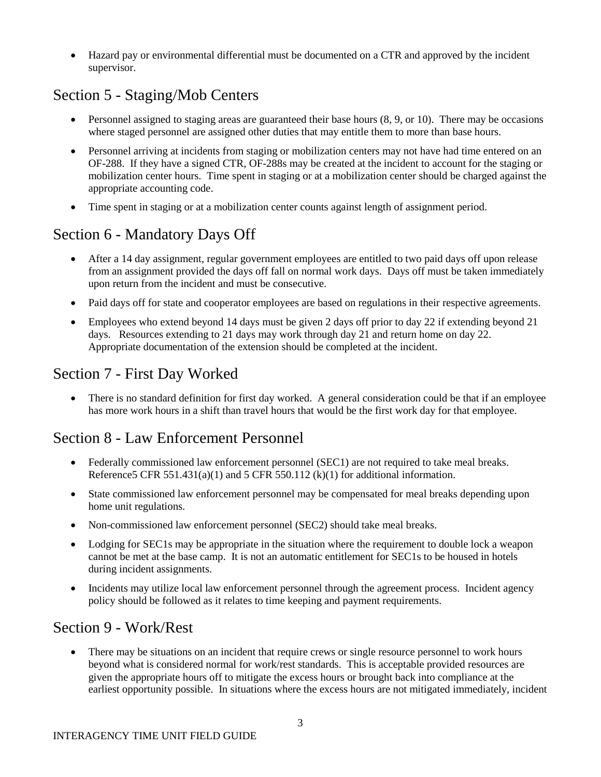Hazard pay or environmental differential must be documented on a CTR and approved by the incident supervisor.

## <span id="page-4-0"></span>Section 5 - Staging/Mob Centers

- $\bullet$  Personnel assigned to staging areas are guaranteed their base hours  $(8, 9, \text{ or } 10)$ . There may be occasions where staged personnel are assigned other duties that may entitle them to more than base hours.
- Personnel arriving at incidents from staging or mobilization centers may not have had time entered on an OF-288. If they have a signed CTR, OF-288s may be created at the incident to account for the staging or mobilization center hours. Time spent in staging or at a mobilization center should be charged against the appropriate accounting code.
- Time spent in staging or at a mobilization center counts against length of assignment period.

#### <span id="page-4-1"></span>Section 6 - Mandatory Days Off

- After a 14 day assignment, regular government employees are entitled to two paid days off upon release from an assignment provided the days off fall on normal work days. Days off must be taken immediately upon return from the incident and must be consecutive.
- Paid days off for state and cooperator employees are based on regulations in their respective agreements.
- Employees who extend beyond 14 days must be given 2 days off prior to day 22 if extending beyond 21 days. Resources extending to 21 days may work through day 21 and return home on day 22. Appropriate documentation of the extension should be completed at the incident.

#### <span id="page-4-2"></span>Section 7 - First Day Worked

• There is no standard definition for first day worked. A general consideration could be that if an employee has more work hours in a shift than travel hours that would be the first work day for that employee.

#### <span id="page-4-3"></span>Section 8 - Law Enforcement Personnel

- Federally commissioned law enforcement personnel (SEC1) are not required to take meal breaks. Reference5 CFR 551.431(a)(1) and 5 CFR 550.112 (k)(1) for additional information.
- State commissioned law enforcement personnel may be compensated for meal breaks depending upon home unit regulations.
- Non-commissioned law enforcement personnel (SEC2) should take meal breaks.
- Lodging for SEC1s may be appropriate in the situation where the requirement to double lock a weapon cannot be met at the base camp. It is not an automatic entitlement for SEC1s to be housed in hotels during incident assignments.
- Incidents may utilize local law enforcement personnel through the agreement process. Incident agency policy should be followed as it relates to time keeping and payment requirements.

#### <span id="page-4-4"></span>Section 9 - Work/Rest

 There may be situations on an incident that require crews or single resource personnel to work hours beyond what is considered normal for work/rest standards. This is acceptable provided resources are given the appropriate hours off to mitigate the excess hours or brought back into compliance at the earliest opportunity possible. In situations where the excess hours are not mitigated immediately, incident